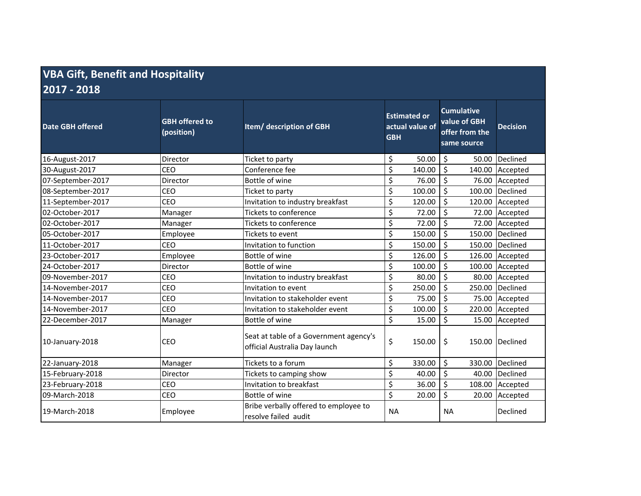## **VBA Gift, Benefit and Hospitality**

**2017 ‐ 2018**

| <b>Date GBH offered</b> | <b>GBH offered to</b><br>(position) | Item/ description of GBH                                                | <b>Estimated or</b><br>actual value of<br><b>GBH</b> |        | <b>Cumulative</b><br>value of GBH<br>offer from the<br>same source |        | <b>Decision</b> |
|-------------------------|-------------------------------------|-------------------------------------------------------------------------|------------------------------------------------------|--------|--------------------------------------------------------------------|--------|-----------------|
| 16-August-2017          | Director                            | Ticket to party                                                         | \$                                                   | 50.00  | \$                                                                 | 50.00  | Declined        |
| 30-August-2017          | CEO                                 | Conference fee                                                          | \$                                                   | 140.00 | \$                                                                 | 140.00 | Accepted        |
| 07-September-2017       | Director                            | Bottle of wine                                                          | \$                                                   | 76.00  | \$                                                                 | 76.00  | Accepted        |
| 08-September-2017       | CEO                                 | Ticket to party                                                         | \$                                                   | 100.00 | \$                                                                 | 100.00 | Declined        |
| 11-September-2017       | CEO                                 | Invitation to industry breakfast                                        | \$                                                   | 120.00 | \$                                                                 | 120.00 | Accepted        |
| 02-October-2017         | Manager                             | Tickets to conference                                                   | $\overline{\xi}$                                     | 72.00  | \$                                                                 | 72.00  | Accepted        |
| 02-October-2017         | Manager                             | Tickets to conference                                                   | \$                                                   | 72.00  | \$                                                                 | 72.00  | Accepted        |
| 05-October-2017         | Employee                            | Tickets to event                                                        | \$                                                   | 150.00 | \$                                                                 | 150.00 | Declined        |
| 11-October-2017         | <b>CEO</b>                          | Invitation to function                                                  | \$                                                   | 150.00 | \$                                                                 | 150.00 | Declined        |
| 23-October-2017         | Employee                            | Bottle of wine                                                          | \$                                                   | 126.00 | \$                                                                 | 126.00 | Accepted        |
| 24-October-2017         | Director                            | Bottle of wine                                                          | \$                                                   | 100.00 | \$                                                                 | 100.00 | Accepted        |
| 09-November-2017        | CEO                                 | Invitation to industry breakfast                                        | \$                                                   | 80.00  | \$                                                                 | 80.00  | Accepted        |
| 14-November-2017        | CEO                                 | Invitation to event                                                     | \$                                                   | 250.00 | \$                                                                 | 250.00 | Declined        |
| 14-November-2017        | CEO                                 | Invitation to stakeholder event                                         | \$                                                   | 75.00  | \$                                                                 | 75.00  | Accepted        |
| 14-November-2017        | CEO                                 | Invitation to stakeholder event                                         | \$                                                   | 100.00 | \$                                                                 | 220.00 | Accepted        |
| 22-December-2017        | Manager                             | Bottle of wine                                                          | \$                                                   | 15.00  | \$                                                                 | 15.00  | Accepted        |
| 10-January-2018         | CEO                                 | Seat at table of a Government agency's<br>official Australia Day launch | \$                                                   | 150.00 | \$                                                                 |        | 150.00 Declined |
| 22-January-2018         | Manager                             | Tickets to a forum                                                      | \$                                                   | 330.00 | \$                                                                 | 330.00 | Declined        |
| 15-February-2018        | Director                            | Tickets to camping show                                                 | \$                                                   | 40.00  | \$                                                                 | 40.00  | Declined        |
| 23-February-2018        | <b>CEO</b>                          | Invitation to breakfast                                                 | \$                                                   | 36.00  | \$                                                                 | 108.00 | Accepted        |
| 09-March-2018           | CEO                                 | Bottle of wine                                                          | $\overline{\xi}$                                     | 20.00  | \$                                                                 | 20.00  | Accepted        |
| 19-March-2018           | Employee                            | Bribe verbally offered to employee to<br>resolve failed audit           | <b>NA</b>                                            |        | <b>NA</b>                                                          |        | Declined        |